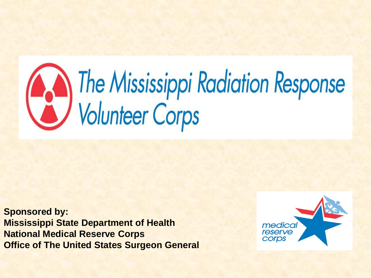# The Mississippi Radiation Response<br>Volunteer Corps

**Sponsored by: Mississippi State Department of Health National Medical Reserve Corps Office of The United States Surgeon General** 

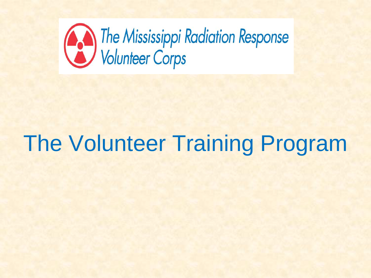

# The Volunteer Training Program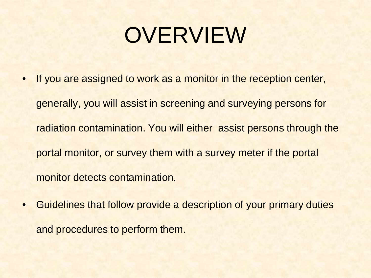# OVERVIEW

- If you are assigned to work as a monitor in the reception center, generally, you will assist in screening and surveying persons for radiation contamination. You will either assist persons through the portal monitor, or survey them with a survey meter if the portal monitor detects contamination.
- Guidelines that follow provide a description of your primary duties and procedures to perform them.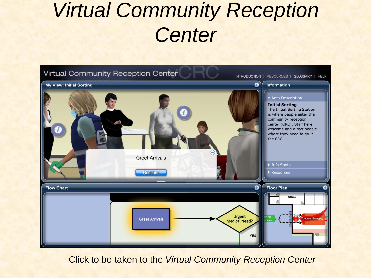# *Virtual Community Reception Center*



Click to be taken to the *Virtual Community Reception Center*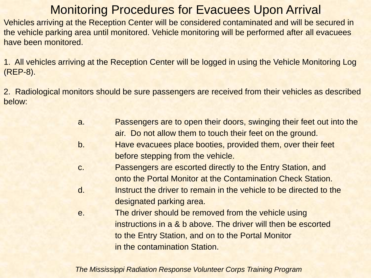#### Monitoring Procedures for Evacuees Upon Arrival

Vehicles arriving at the Reception Center will be considered contaminated and will be secured in the vehicle parking area until monitored. Vehicle monitoring will be performed after all evacuees have been monitored.

1. All vehicles arriving at the Reception Center will be logged in using the Vehicle Monitoring Log (REP-8).

2. Radiological monitors should be sure passengers are received from their vehicles as described below:

| a. | Passengers are to open their doors, swinging their feet out into the |  |  |  |
|----|----------------------------------------------------------------------|--|--|--|
|    | air. Do not allow them to touch their feet on the ground.            |  |  |  |
|    | I lavor accordo de plana legativo provided theme accordo de fact     |  |  |  |

- b. Have evacuees place booties, provided them, over their feet before stepping from the vehicle.
- c. Passengers are escorted directly to the Entry Station, and onto the Portal Monitor at the Contamination Check Station.
- d. Instruct the driver to remain in the vehicle to be directed to the designated parking area.
- e. The driver should be removed from the vehicle using instructions in a & b above. The driver will then be escorted to the Entry Station, and on to the Portal Monitor in the contamination Station.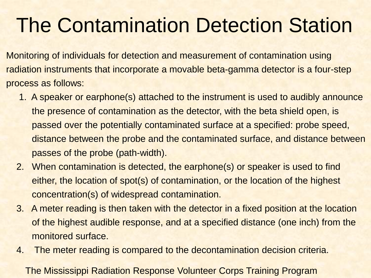# The Contamination Detection Station

Monitoring of individuals for detection and measurement of contamination using radiation instruments that incorporate a movable beta-gamma detector is a four-step process as follows:

- 1. A speaker or earphone(s) attached to the instrument is used to audibly announce the presence of contamination as the detector, with the beta shield open, is passed over the potentially contaminated surface at a specified: probe speed, distance between the probe and the contaminated surface, and distance between passes of the probe (path-width).
- 2. When contamination is detected, the earphone(s) or speaker is used to find either, the location of spot(s) of contamination, or the location of the highest concentration(s) of widespread contamination.
- 3. A meter reading is then taken with the detector in a fixed position at the location of the highest audible response, and at a specified distance (one inch) from the monitored surface.
- 4. The meter reading is compared to the decontamination decision criteria.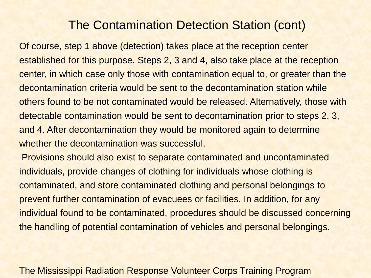#### The Contamination Detection Station (cont)

Of course, step 1 above (detection) takes place at the reception center established for this purpose. Steps 2, 3 and 4, also take place at the reception center, in which case only those with contamination equal to, or greater than the decontamination criteria would be sent to the decontamination station while others found to be not contaminated would be released. Alternatively, those with detectable contamination would be sent to decontamination prior to steps 2, 3, and 4. After decontamination they would be monitored again to determine whether the decontamination was successful.

Provisions should also exist to separate contaminated and uncontaminated individuals, provide changes of clothing for individuals whose clothing is contaminated, and store contaminated clothing and personal belongings to prevent further contamination of evacuees or facilities. In addition, for any individual found to be contaminated, procedures should be discussed concerning the handling of potential contamination of vehicles and personal belongings.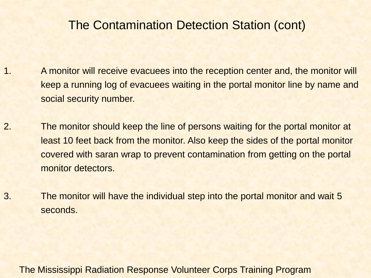#### The Contamination Detection Station (cont)

- 1. A monitor will receive evacuees into the reception center and, the monitor will keep a running log of evacuees waiting in the portal monitor line by name and social security number.
- 2. The monitor should keep the line of persons waiting for the portal monitor at least 10 feet back from the monitor. Also keep the sides of the portal monitor covered with saran wrap to prevent contamination from getting on the portal monitor detectors.
- 3. The monitor will have the individual step into the portal monitor and wait 5 seconds.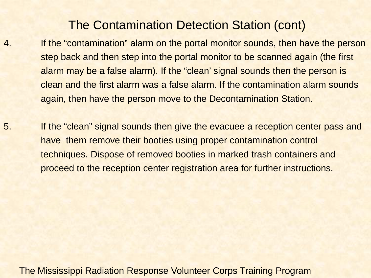#### The Contamination Detection Station (cont)

- 4. If the "contamination" alarm on the portal monitor sounds, then have the person step back and then step into the portal monitor to be scanned again (the first alarm may be a false alarm). If the "clean' signal sounds then the person is clean and the first alarm was a false alarm. If the contamination alarm sounds again, then have the person move to the Decontamination Station.
- 5. If the "clean" signal sounds then give the evacuee a reception center pass and have them remove their booties using proper contamination control techniques. Dispose of removed booties in marked trash containers and proceed to the reception center registration area for further instructions.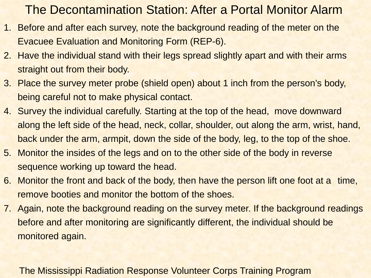#### The Decontamination Station: After a Portal Monitor Alarm

- 1. Before and after each survey, note the background reading of the meter on the Evacuee Evaluation and Monitoring Form (REP-6).
- 2. Have the individual stand with their legs spread slightly apart and with their arms straight out from their body.
- 3. Place the survey meter probe (shield open) about 1 inch from the person's body, being careful not to make physical contact.
- 4. Survey the individual carefully. Starting at the top of the head, move downward along the left side of the head, neck, collar, shoulder, out along the arm, wrist, hand, back under the arm, armpit, down the side of the body, leg, to the top of the shoe.
- 5. Monitor the insides of the legs and on to the other side of the body in reverse sequence working up toward the head.
- 6. Monitor the front and back of the body, then have the person lift one foot at a time, remove booties and monitor the bottom of the shoes.
- 7. Again, note the background reading on the survey meter. If the background readings before and after monitoring are significantly different, the individual should be monitored again.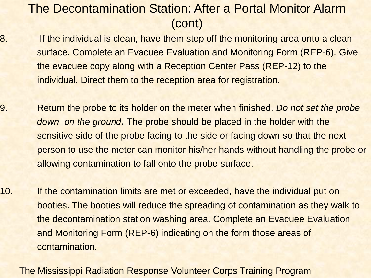### The Decontamination Station: After a Portal Monitor Alarm (cont)

- 8. If the individual is clean, have them step off the monitoring area onto a clean surface. Complete an Evacuee Evaluation and Monitoring Form (REP-6). Give the evacuee copy along with a Reception Center Pass (REP-12) to the individual. Direct them to the reception area for registration.
- 9. Return the probe to its holder on the meter when finished. *Do not set the probe down on the ground***.** The probe should be placed in the holder with the sensitive side of the probe facing to the side or facing down so that the next person to use the meter can monitor his/her hands without handling the probe or allowing contamination to fall onto the probe surface.
- 10. If the contamination limits are met or exceeded, have the individual put on booties. The booties will reduce the spreading of contamination as they walk to the decontamination station washing area. Complete an Evacuee Evaluation and Monitoring Form (REP-6) indicating on the form those areas of contamination.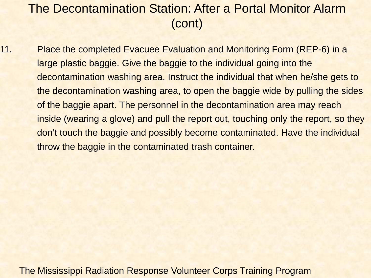#### The Decontamination Station: After a Portal Monitor Alarm (cont)

11. Place the completed Evacuee Evaluation and Monitoring Form (REP-6) in a large plastic baggie. Give the baggie to the individual going into the decontamination washing area. Instruct the individual that when he/she gets to the decontamination washing area, to open the baggie wide by pulling the sides of the baggie apart. The personnel in the decontamination area may reach inside (wearing a glove) and pull the report out, touching only the report, so they don't touch the baggie and possibly become contaminated. Have the individual throw the baggie in the contaminated trash container.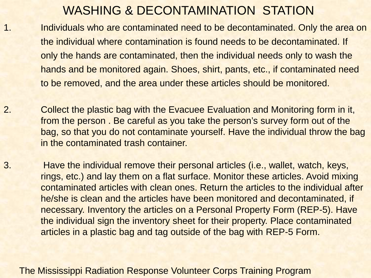#### WASHING & DECONTAMINATION STATION

- 1. Individuals who are contaminated need to be decontaminated. Only the area on the individual where contamination is found needs to be decontaminated. If only the hands are contaminated, then the individual needs only to wash the hands and be monitored again. Shoes, shirt, pants, etc., if contaminated need to be removed, and the area under these articles should be monitored.
- 2. Collect the plastic bag with the Evacuee Evaluation and Monitoring form in it, from the person . Be careful as you take the person's survey form out of the bag, so that you do not contaminate yourself. Have the individual throw the bag in the contaminated trash container.
- 3. Have the individual remove their personal articles (i.e., wallet, watch, keys, rings, etc.) and lay them on a flat surface. Monitor these articles. Avoid mixing contaminated articles with clean ones. Return the articles to the individual after he/she is clean and the articles have been monitored and decontaminated, if necessary. Inventory the articles on a Personal Property Form (REP-5). Have the individual sign the inventory sheet for their property. Place contaminated articles in a plastic bag and tag outside of the bag with REP-5 Form.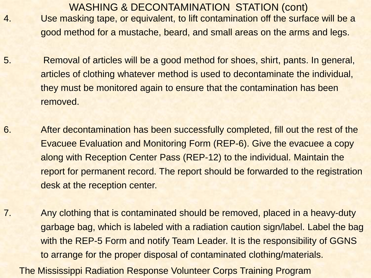- WASHING & DECONTAMINATION STATION (cont) 4. Use masking tape, or equivalent, to lift contamination off the surface will be a good method for a mustache, beard, and small areas on the arms and legs.
- 5. Removal of articles will be a good method for shoes, shirt, pants. In general, articles of clothing whatever method is used to decontaminate the individual, they must be monitored again to ensure that the contamination has been removed.
- 6. After decontamination has been successfully completed, fill out the rest of the Evacuee Evaluation and Monitoring Form (REP-6). Give the evacuee a copy along with Reception Center Pass (REP-12) to the individual. Maintain the report for permanent record. The report should be forwarded to the registration desk at the reception center.
- 7. Any clothing that is contaminated should be removed, placed in a heavy-duty garbage bag, which is labeled with a radiation caution sign/label. Label the bag with the REP-5 Form and notify Team Leader. It is the responsibility of GGNS to arrange for the proper disposal of contaminated clothing/materials.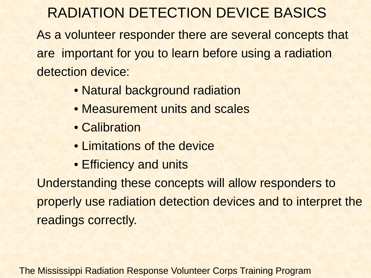# RADIATION DETECTION DEVICE BASICS

As a volunteer responder there are several concepts that are important for you to learn before using a radiation detection device:

- Natural background radiation
- Measurement units and scales
- Calibration
- Limitations of the device
- Efficiency and units

Understanding these concepts will allow responders to properly use radiation detection devices and to interpret the readings correctly.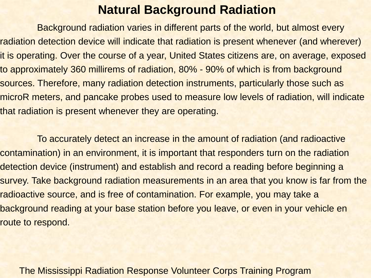#### **Natural Background Radiation**

Background radiation varies in different parts of the world, but almost every radiation detection device will indicate that radiation is present whenever (and wherever) it is operating. Over the course of a year, United States citizens are, on average, exposed to approximately 360 millirems of radiation, 80% - 90% of which is from background sources. Therefore, many radiation detection instruments, particularly those such as microR meters, and pancake probes used to measure low levels of radiation, will indicate that radiation is present whenever they are operating.

To accurately detect an increase in the amount of radiation (and radioactive contamination) in an environment, it is important that responders turn on the radiation detection device (instrument) and establish and record a reading before beginning a survey. Take background radiation measurements in an area that you know is far from the radioactive source, and is free of contamination. For example, you may take a background reading at your base station before you leave, or even in your vehicle en route to respond.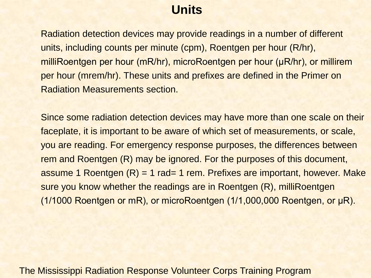#### **Units**

Radiation detection devices may provide readings in a number of different units, including counts per minute (cpm), Roentgen per hour (R/hr), milliRoentgen per hour (mR/hr), microRoentgen per hour (μR/hr), or millirem per hour (mrem/hr). These units and prefixes are defined in the Primer on Radiation Measurements section.

Since some radiation detection devices may have more than one scale on their faceplate, it is important to be aware of which set of measurements, or scale, you are reading. For emergency response purposes, the differences between rem and Roentgen (R) may be ignored. For the purposes of this document, assume 1 Roentgen (R) = 1 rad= 1 rem. Prefixes are important, however. Make sure you know whether the readings are in Roentgen (R), milliRoentgen (1/1000 Roentgen or mR), or microRoentgen (1/1,000,000 Roentgen, or μR).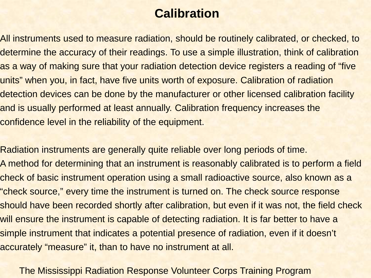#### **Calibration**

All instruments used to measure radiation, should be routinely calibrated, or checked, to determine the accuracy of their readings. To use a simple illustration, think of calibration as a way of making sure that your radiation detection device registers a reading of "five units" when you, in fact, have five units worth of exposure. Calibration of radiation detection devices can be done by the manufacturer or other licensed calibration facility and is usually performed at least annually. Calibration frequency increases the confidence level in the reliability of the equipment.

Radiation instruments are generally quite reliable over long periods of time. A method for determining that an instrument is reasonably calibrated is to perform a field check of basic instrument operation using a small radioactive source, also known as a "check source," every time the instrument is turned on. The check source response should have been recorded shortly after calibration, but even if it was not, the field check will ensure the instrument is capable of detecting radiation. It is far better to have a simple instrument that indicates a potential presence of radiation, even if it doesn't accurately "measure" it, than to have no instrument at all.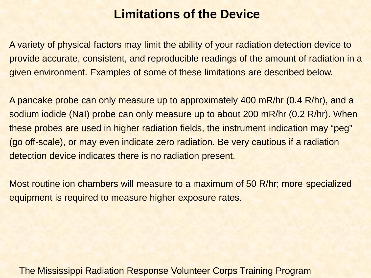#### **Limitations of the Device**

A variety of physical factors may limit the ability of your radiation detection device to provide accurate, consistent, and reproducible readings of the amount of radiation in a given environment. Examples of some of these limitations are described below.

A pancake probe can only measure up to approximately 400 mR/hr (0.4 R/hr), and a sodium iodide (NaI) probe can only measure up to about 200 mR/hr (0.2 R/hr). When these probes are used in higher radiation fields, the instrument indication may "peg" (go off-scale), or may even indicate zero radiation. Be very cautious if a radiation detection device indicates there is no radiation present.

Most routine ion chambers will measure to a maximum of 50 R/hr; more specialized equipment is required to measure higher exposure rates.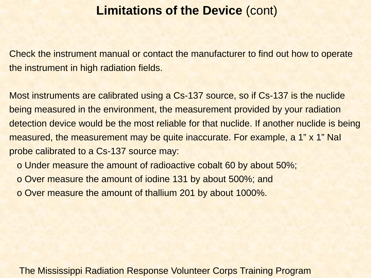#### **Limitations of the Device** (cont)

Check the instrument manual or contact the manufacturer to find out how to operate the instrument in high radiation fields.

Most instruments are calibrated using a Cs-137 source, so if Cs-137 is the nuclide being measured in the environment, the measurement provided by your radiation detection device would be the most reliable for that nuclide. If another nuclide is being measured, the measurement may be quite inaccurate. For example, a 1" x 1" NaI probe calibrated to a Cs-137 source may:

o Under measure the amount of radioactive cobalt 60 by about 50%;

- o Over measure the amount of iodine 131 by about 500%; and
- o Over measure the amount of thallium 201 by about 1000%.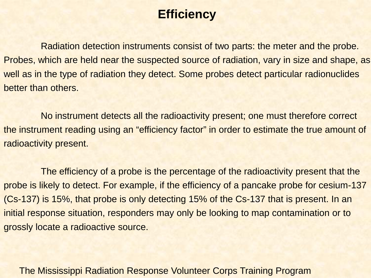### **Efficiency**

Radiation detection instruments consist of two parts: the meter and the probe. Probes, which are held near the suspected source of radiation, vary in size and shape, as well as in the type of radiation they detect. Some probes detect particular radionuclides better than others.

No instrument detects all the radioactivity present; one must therefore correct the instrument reading using an "efficiency factor" in order to estimate the true amount of radioactivity present.

The efficiency of a probe is the percentage of the radioactivity present that the probe is likely to detect. For example, if the efficiency of a pancake probe for cesium-137 (Cs-137) is 15%, that probe is only detecting 15% of the Cs-137 that is present. In an initial response situation, responders may only be looking to map contamination or to grossly locate a radioactive source.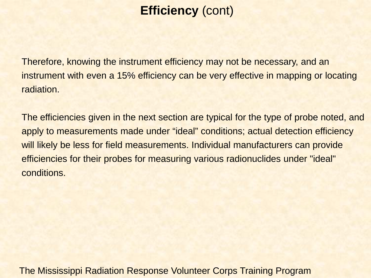## **Efficiency** (cont)

Therefore, knowing the instrument efficiency may not be necessary, and an instrument with even a 15% efficiency can be very effective in mapping or locating radiation.

The efficiencies given in the next section are typical for the type of probe noted, and apply to measurements made under "ideal" conditions; actual detection efficiency will likely be less for field measurements. Individual manufacturers can provide efficiencies for their probes for measuring various radionuclides under "ideal" conditions.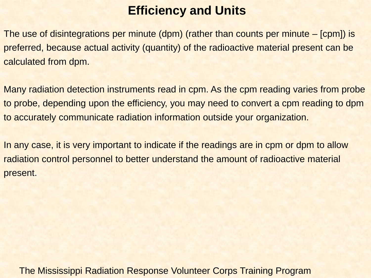#### **Efficiency and Units**

The use of disintegrations per minute (dpm) (rather than counts per minute – [cpm]) is preferred, because actual activity (quantity) of the radioactive material present can be calculated from dpm.

Many radiation detection instruments read in cpm. As the cpm reading varies from probe to probe, depending upon the efficiency, you may need to convert a cpm reading to dpm to accurately communicate radiation information outside your organization.

In any case, it is very important to indicate if the readings are in cpm or dpm to allow radiation control personnel to better understand the amount of radioactive material present.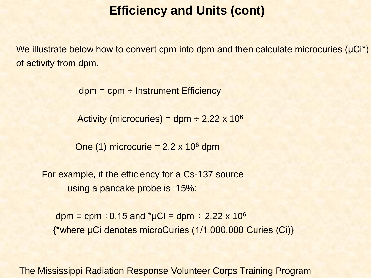#### **Efficiency and Units (cont)**

We illustrate below how to convert cpm into dpm and then calculate microcuries (μCi<sup>\*</sup>) of activity from dpm.

 $dpm = cpm \div Instrument$  Efficiency

Activity (microcuries) = dpm  $\div 2.22 \times 10^6$ 

One (1) microcurie =  $2.2 \times 10^6$  dpm

For example, if the efficiency for a Cs-137 source using a pancake probe is 15%:

dpm = cpm  $\div$ 0.15 and \*µCi = dpm  $\div$  2.22 x 10<sup>6</sup> {\*where μCi denotes microCuries (1/1,000,000 Curies (Ci)}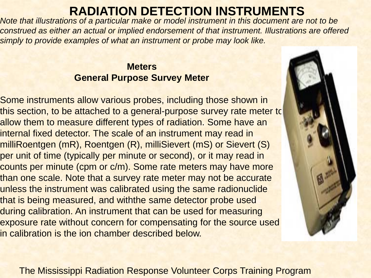### **RADIATION DETECTION INSTRUMENTS**

*Note that illustrations of a particular make or model instrument in this document are not to be construed as either an actual or implied endorsement of that instrument. Illustrations are offered simply to provide examples of what an instrument or probe may look like.*

#### **Meters General Purpose Survey Meter**

Some instruments allow various probes, including those shown in this section, to be attached to a general-purpose survey rate meter to allow them to measure different types of radiation. Some have an internal fixed detector. The scale of an instrument may read in milliRoentgen (mR), Roentgen (R), milliSievert (mS) or Sievert (S) per unit of time (typically per minute or second), or it may read in counts per minute (cpm or c/m). Some rate meters may have more than one scale. Note that a survey rate meter may not be accurate unless the instrument was calibrated using the same radionuclide that is being measured, and withthe same detector probe used during calibration. An instrument that can be used for measuring exposure rate without concern for compensating for the source used in calibration is the ion chamber described below.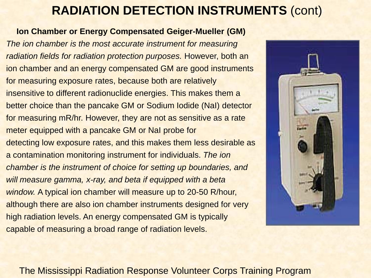#### **Ion Chamber or Energy Compensated Geiger-Mueller (GM)**

*The ion chamber is the most accurate instrument for measuring radiation fields for radiation protection purposes.* However, both an ion chamber and an energy compensated GM are good instruments for measuring exposure rates, because both are relatively insensitive to different radionuclide energies. This makes them a better choice than the pancake GM or Sodium Iodide (NaI) detector for measuring mR/hr. However, they are not as sensitive as a rate meter equipped with a pancake GM or NaI probe for detecting low exposure rates, and this makes them less desirable as a contamination monitoring instrument for individuals. *The ion chamber is the instrument of choice for setting up boundaries, and will measure gamma, x-ray, and beta if equipped with a beta window.* A typical ion chamber will measure up to 20-50 R/hour, although there are also ion chamber instruments designed for very high radiation levels. An energy compensated GM is typically capable of measuring a broad range of radiation levels.

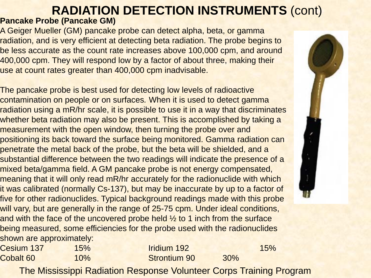#### **Pancake Probe (Pancake GM)**

A Geiger Mueller (GM) pancake probe can detect alpha, beta, or gamma radiation, and is very efficient at detecting beta radiation. The probe begins to be less accurate as the count rate increases above 100,000 cpm, and around 400,000 cpm. They will respond low by a factor of about three, making their use at count rates greater than 400,000 cpm inadvisable.

The pancake probe is best used for detecting low levels of radioactive contamination on people or on surfaces*.* When it is used to detect gamma radiation using a mR/hr scale, it is possible to use it in a way that discriminates whether beta radiation may also be present. This is accomplished by taking a measurement with the open window, then turning the probe over and positioning its back toward the surface being monitored. Gamma radiation can penetrate the metal back of the probe, but the beta will be shielded, and a substantial difference between the two readings will indicate the presence of a mixed beta/gamma field. A GM pancake probe is not energy compensated, meaning that it will only read mR/hr accurately for the radionuclide with which it was calibrated (normally Cs-137), but may be inaccurate by up to a factor of five for other radionuclides. Typical background readings made with this probe will vary, but are generally in the range of 25-75 cpm. Under ideal conditions, and with the face of the uncovered probe held  $\frac{1}{2}$  to 1 inch from the surface being measured, some efficiencies for the probe used with the radionuclides shown are approximately:

| Cesium 137 | 15%    | <b>Iridium 192</b>  |     | 15% |
|------------|--------|---------------------|-----|-----|
| Cobalt 60  | $10\%$ | <b>Strontium 90</b> | 30% |     |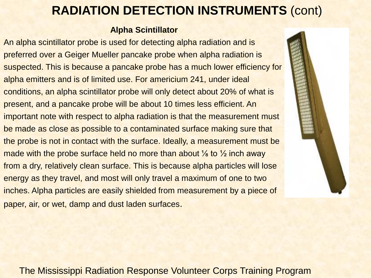#### **Alpha Scintillator**

An alpha scintillator probe is used for detecting alpha radiation and is preferred over a Geiger Mueller pancake probe when alpha radiation is suspected. This is because a pancake probe has a much lower efficiency for alpha emitters and is of limited use. For americium 241, under ideal conditions, an alpha scintillator probe will only detect about 20% of what is present, and a pancake probe will be about 10 times less efficient. An important note with respect to alpha radiation is that the measurement must be made as close as possible to a contaminated surface making sure that the probe is not in contact with the surface. Ideally, a measurement must be made with the probe surface held no more than about  $\frac{1}{8}$  to  $\frac{1}{2}$  inch away from a dry, relatively clean surface. This is because alpha particles will lose energy as they travel, and most will only travel a maximum of one to two inches. Alpha particles are easily shielded from measurement by a piece of paper, air, or wet, damp and dust laden surfaces.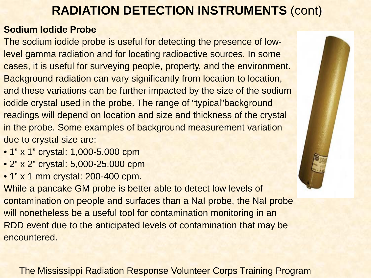#### **Sodium Iodide Probe**

The sodium iodide probe is useful for detecting the presence of lowlevel gamma radiation and for locating radioactive sources. In some cases, it is useful for surveying people, property, and the environment. Background radiation can vary significantly from location to location, and these variations can be further impacted by the size of the sodium iodide crystal used in the probe. The range of "typical"background readings will depend on location and size and thickness of the crystal in the probe. Some examples of background measurement variation due to crystal size are:

- 1" x 1" crystal: 1,000-5,000 cpm
- 2" x 2" crystal: 5,000-25,000 cpm
- 1" x 1 mm crystal: 200-400 cpm.

While a pancake GM probe is better able to detect low levels of contamination on people and surfaces than a NaI probe, the NaI probe will nonetheless be a useful tool for contamination monitoring in an RDD event due to the anticipated levels of contamination that may be encountered.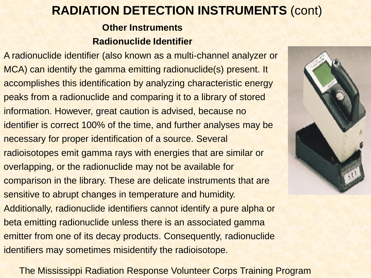#### **Other Instruments Radionuclide Identifier**

A radionuclide identifier (also known as a multi-channel analyzer or MCA) can identify the gamma emitting radionuclide(s) present. It accomplishes this identification by analyzing characteristic energy peaks from a radionuclide and comparing it to a library of stored information. However, great caution is advised, because no identifier is correct 100% of the time, and further analyses may be necessary for proper identification of a source. Several radioisotopes emit gamma rays with energies that are similar or overlapping, or the radionuclide may not be available for comparison in the library. These are delicate instruments that are sensitive to abrupt changes in temperature and humidity. Additionally, radionuclide identifiers cannot identify a pure alpha or beta emitting radionuclide unless there is an associated gamma emitter from one of its decay products. Consequently, radionuclide identifiers may sometimes misidentify the radioisotope.

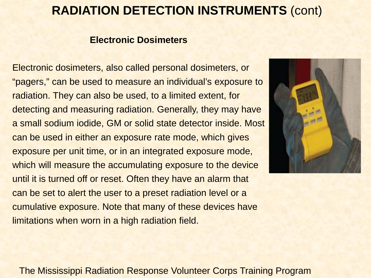#### **Electronic Dosimeters**

Electronic dosimeters, also called personal dosimeters, or "pagers," can be used to measure an individual's exposure to radiation. They can also be used, to a limited extent, for detecting and measuring radiation. Generally, they may have a small sodium iodide, GM or solid state detector inside. Most can be used in either an exposure rate mode, which gives exposure per unit time, or in an integrated exposure mode, which will measure the accumulating exposure to the device until it is turned off or reset. Often they have an alarm that can be set to alert the user to a preset radiation level or a cumulative exposure. Note that many of these devices have limitations when worn in a high radiation field.

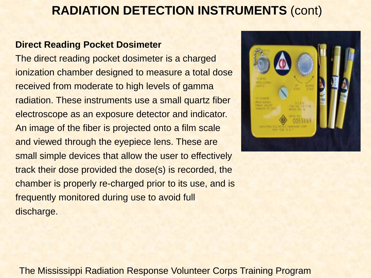#### **Direct Reading Pocket Dosimeter**

The direct reading pocket dosimeter is a charged ionization chamber designed to measure a total dose received from moderate to high levels of gamma radiation. These instruments use a small quartz fiber electroscope as an exposure detector and indicator. An image of the fiber is projected onto a film scale and viewed through the eyepiece lens. These are small simple devices that allow the user to effectively track their dose provided the dose(s) is recorded, the chamber is properly re-charged prior to its use, and is frequently monitored during use to avoid full discharge.

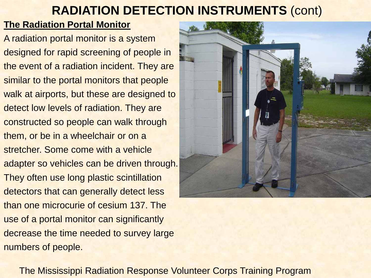#### **The Radiation Portal Monitor**

A radiation portal monitor is a system designed for rapid screening of people in the event of a radiation incident. They are similar to the portal monitors that people walk at airports, but these are designed to detect low levels of radiation. They are constructed so people can walk through them, or be in a wheelchair or on a stretcher. Some come with a vehicle adapter so vehicles can be driven through. They often use long plastic scintillation detectors that can generally detect less than one microcurie of cesium 137. The use of a portal monitor can significantly decrease the time needed to survey large numbers of people.